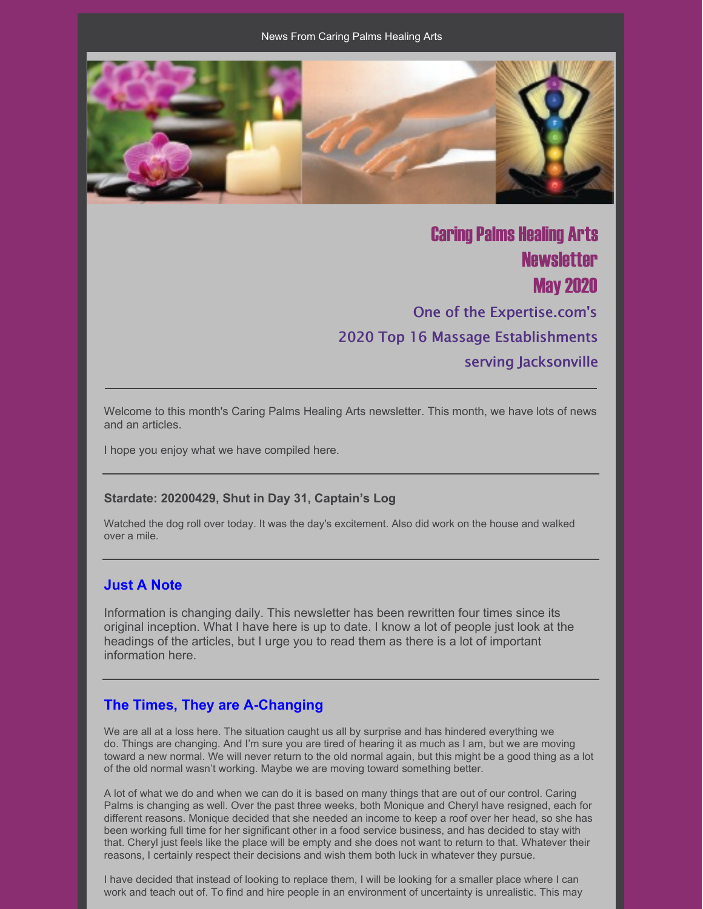

**Caring Palms Healing Arts Newsletter May 2020** One of the Expertise.com's 2020 Top 16 Massage Establishments serving Jacksonville

Welcome to this month's Caring Palms Healing Arts newsletter. This month, we have lots of news and an articles.

I hope you enjoy what we have compiled here.

#### **Stardate: 20200429, Shut in Day 31, Captain's Log**

Watched the dog roll over today. It was the day's excitement. Also did work on the house and walked over a mile.

#### **Just A Note**

Information is changing daily. This newsletter has been rewritten four times since its original inception. What I have here is up to date. I know a lot of people just look at the headings of the articles, but I urge you to read them as there is a lot of important information here.

#### **The Times, They are A-Changing**

We are all at a loss here. The situation caught us all by surprise and has hindered everything we do. Things are changing. And I'm sure you are tired of hearing it as much as I am, but we are moving toward a new normal. We will never return to the old normal again, but this might be a good thing as a lot of the old normal wasn't working. Maybe we are moving toward something better.

A lot of what we do and when we can do it is based on many things that are out of our control. Caring Palms is changing as well. Over the past three weeks, both Monique and Cheryl have resigned, each for different reasons. Monique decided that she needed an income to keep a roof over her head, so she has been working full time for her significant other in a food service business, and has decided to stay with that. Cheryl just feels like the place will be empty and she does not want to return to that. Whatever their reasons, I certainly respect their decisions and wish them both luck in whatever they pursue.

I have decided that instead of looking to replace them, I will be looking for a smaller place where I can work and teach out of. To find and hire people in an environment of uncertainty is unrealistic. This may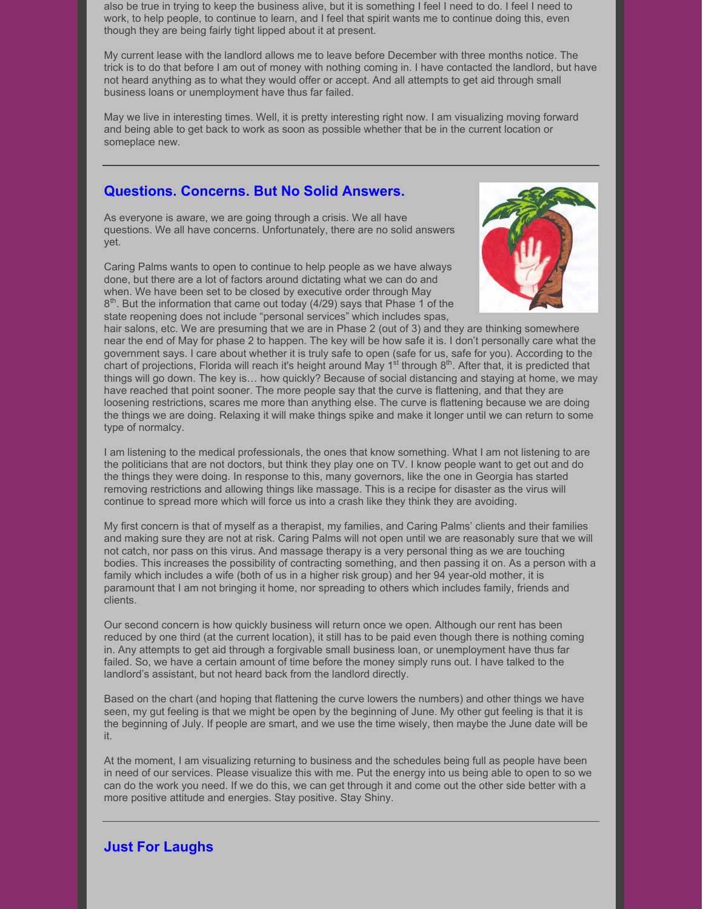also be true in trying to keep the business alive, but it is something I feel I need to do. I feel I need to work, to help people, to continue to learn, and I feel that spirit wants me to continue doing this, even though they are being fairly tight lipped about it at present.

My current lease with the landlord allows me to leave before December with three months notice. The trick is to do that before I am out of money with nothing coming in. I have contacted the landlord, but have not heard anything as to what they would offer or accept. And all attempts to get aid through small business loans or unemployment have thus far failed.

May we live in interesting times. Well, it is pretty interesting right now. I am visualizing moving forward and being able to get back to work as soon as possible whether that be in the current location or someplace new.

## **Questions. Concerns. But No Solid Answers.**

As everyone is aware, we are going through a crisis. We all have questions. We all have concerns. Unfortunately, there are no solid answers yet.

Caring Palms wants to open to continue to help people as we have always done, but there are a lot of factors around dictating what we can do and when. We have been set to be closed by executive order through May 8<sup>th</sup>. But the information that came out today (4/29) says that Phase 1 of the state reopening does not include "personal services" which includes spas,



hair salons, etc. We are presuming that we are in Phase 2 (out of 3) and they are thinking somewhere near the end of May for phase 2 to happen. The key will be how safe it is. I don't personally care what the government says. I care about whether it is truly safe to open (safe for us, safe for you). According to the chart of projections, Florida will reach it's height around May 1<sup>st</sup> through 8<sup>th</sup>. After that, it is predicted that things will go down. The key is… how quickly? Because of social distancing and staying at home, we may have reached that point sooner. The more people say that the curve is flattening, and that they are loosening restrictions, scares me more than anything else. The curve is flattening because we are doing the things we are doing. Relaxing it will make things spike and make it longer until we can return to some type of normalcy.

I am listening to the medical professionals, the ones that know something. What I am not listening to are the politicians that are not doctors, but think they play one on TV. I know people want to get out and do the things they were doing. In response to this, many governors, like the one in Georgia has started removing restrictions and allowing things like massage. This is a recipe for disaster as the virus will continue to spread more which will force us into a crash like they think they are avoiding.

My first concern is that of myself as a therapist, my families, and Caring Palms' clients and their families and making sure they are not at risk. Caring Palms will not open until we are reasonably sure that we will not catch, nor pass on this virus. And massage therapy is a very personal thing as we are touching bodies. This increases the possibility of contracting something, and then passing it on. As a person with a family which includes a wife (both of us in a higher risk group) and her 94 year-old mother, it is paramount that I am not bringing it home, nor spreading to others which includes family, friends and clients.

Our second concern is how quickly business will return once we open. Although our rent has been reduced by one third (at the current location), it still has to be paid even though there is nothing coming in. Any attempts to get aid through a forgivable small business loan, or unemployment have thus far failed. So, we have a certain amount of time before the money simply runs out. I have talked to the landlord's assistant, but not heard back from the landlord directly.

Based on the chart (and hoping that flattening the curve lowers the numbers) and other things we have seen, my gut feeling is that we might be open by the beginning of June. My other gut feeling is that it is the beginning of July. If people are smart, and we use the time wisely, then maybe the June date will be it.

At the moment, I am visualizing returning to business and the schedules being full as people have been in need of our services. Please visualize this with me. Put the energy into us being able to open to so we can do the work you need. If we do this, we can get through it and come out the other side better with a more positive attitude and energies. Stay positive. Stay Shiny.

# **Just For Laughs**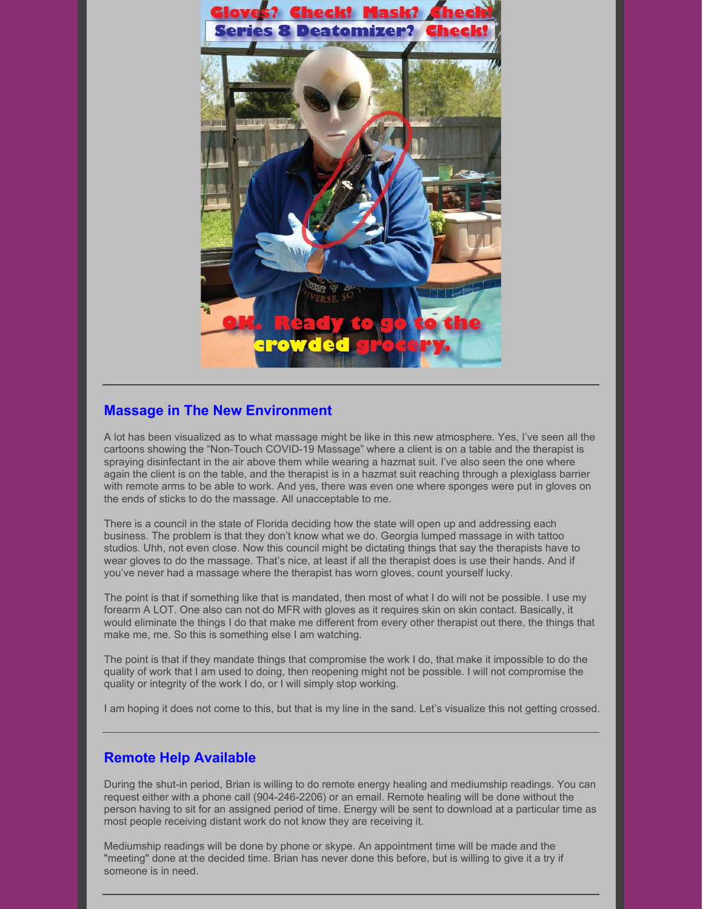

# **Massage in The New Environment**

A lot has been visualized as to what massage might be like in this new atmosphere. Yes, I've seen all the cartoons showing the "Non-Touch COVID-19 Massage" where a client is on a table and the therapist is spraying disinfectant in the air above them while wearing a hazmat suit. I've also seen the one where again the client is on the table, and the therapist is in a hazmat suit reaching through a plexiglass barrier with remote arms to be able to work. And yes, there was even one where sponges were put in gloves on the ends of sticks to do the massage. All unacceptable to me.

There is a council in the state of Florida deciding how the state will open up and addressing each business. The problem is that they don't know what we do. Georgia lumped massage in with tattoo studios. Uhh, not even close. Now this council might be dictating things that say the therapists have to wear gloves to do the massage. That's nice, at least if all the therapist does is use their hands. And if you've never had a massage where the therapist has worn gloves, count yourself lucky.

The point is that if something like that is mandated, then most of what I do will not be possible. I use my forearm A LOT. One also can not do MFR with gloves as it requires skin on skin contact. Basically, it would eliminate the things I do that make me different from every other therapist out there, the things that make me, me. So this is something else I am watching.

The point is that if they mandate things that compromise the work I do, that make it impossible to do the quality of work that I am used to doing, then reopening might not be possible. I will not compromise the quality or integrity of the work I do, or I will simply stop working.

I am hoping it does not come to this, but that is my line in the sand. Let's visualize this not getting crossed.

# **Remote Help Available**

During the shut-in period, Brian is willing to do remote energy healing and mediumship readings. You can request either with a phone call (904-246-2206) or an email. Remote healing will be done without the person having to sit for an assigned period of time. Energy will be sent to download at a particular time as most people receiving distant work do not know they are receiving it.

Mediumship readings will be done by phone or skype. An appointment time will be made and the "meeting" done at the decided time. Brian has never done this before, but is willing to give it a try if someone is in need.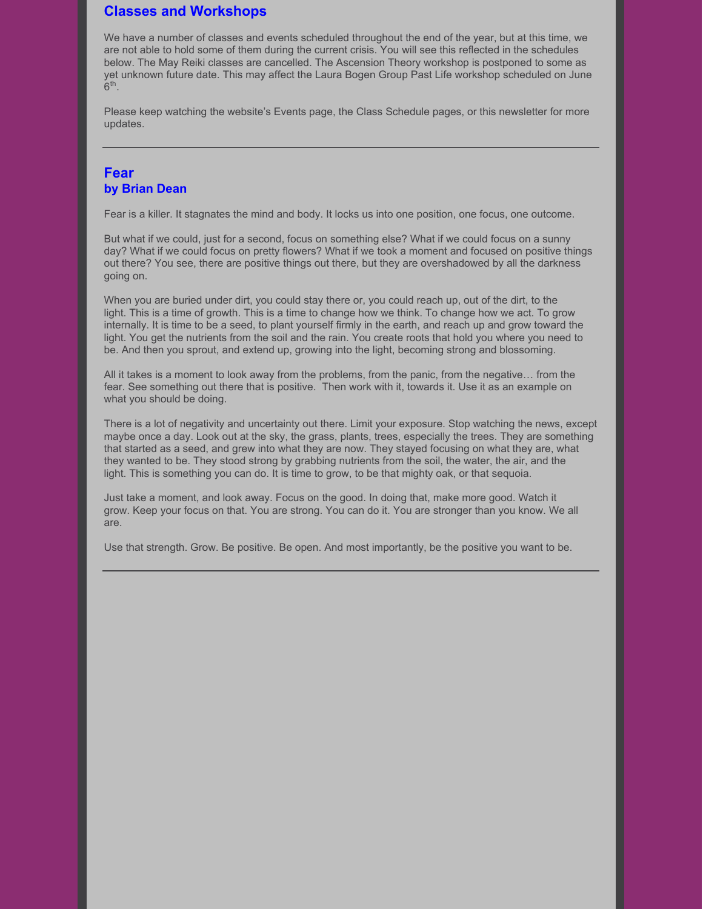# **Classes and Workshops**

We have a number of classes and events scheduled throughout the end of the year, but at this time, we are not able to hold some of them during the current crisis. You will see this reflected in the schedules below. The May Reiki classes are cancelled. The Ascension Theory workshop is postponed to some as yet unknown future date. This may affect the Laura Bogen Group Past Life workshop scheduled on June  $6<sup>th</sup>$ .

Please keep watching the website's Events page, the Class Schedule pages, or this newsletter for more updates.

## **Fear by Brian Dean**

Fear is a killer. It stagnates the mind and body. It locks us into one position, one focus, one outcome.

But what if we could, just for a second, focus on something else? What if we could focus on a sunny day? What if we could focus on pretty flowers? What if we took a moment and focused on positive things out there? You see, there are positive things out there, but they are overshadowed by all the darkness going on.

When you are buried under dirt, you could stay there or, you could reach up, out of the dirt, to the light. This is a time of growth. This is a time to change how we think. To change how we act. To grow internally. It is time to be a seed, to plant yourself firmly in the earth, and reach up and grow toward the light. You get the nutrients from the soil and the rain. You create roots that hold you where you need to be. And then you sprout, and extend up, growing into the light, becoming strong and blossoming.

All it takes is a moment to look away from the problems, from the panic, from the negative… from the fear. See something out there that is positive. Then work with it, towards it. Use it as an example on what you should be doing.

There is a lot of negativity and uncertainty out there. Limit your exposure. Stop watching the news, except maybe once a day. Look out at the sky, the grass, plants, trees, especially the trees. They are something that started as a seed, and grew into what they are now. They stayed focusing on what they are, what they wanted to be. They stood strong by grabbing nutrients from the soil, the water, the air, and the light. This is something you can do. It is time to grow, to be that mighty oak, or that sequoia.

Just take a moment, and look away. Focus on the good. In doing that, make more good. Watch it grow. Keep your focus on that. You are strong. You can do it. You are stronger than you know. We all are.

Use that strength. Grow. Be positive. Be open. And most importantly, be the positive you want to be.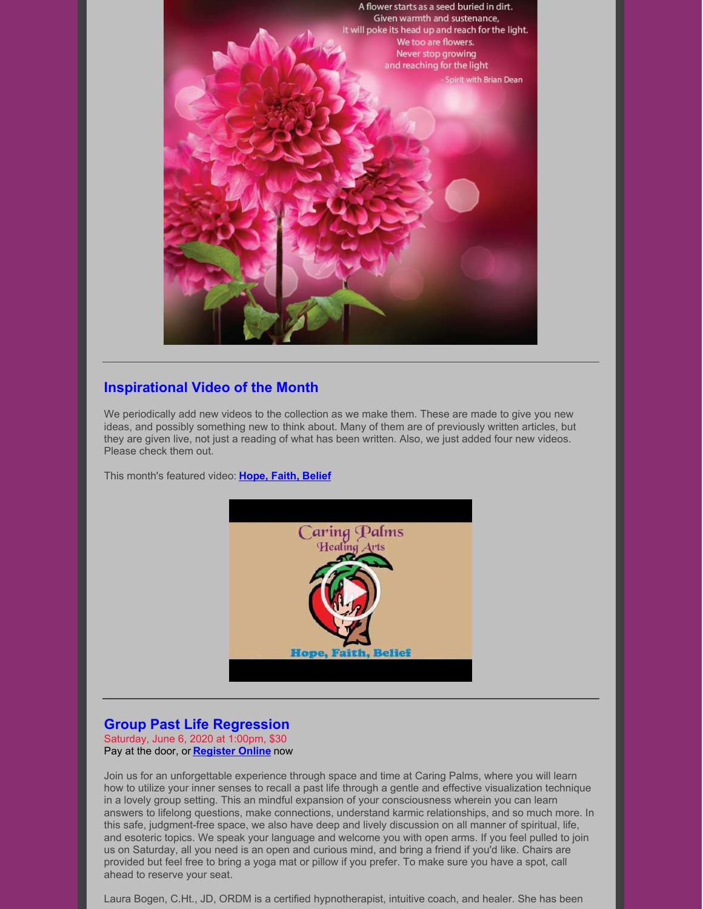

# **Inspirational Video of the Month**

We periodically add new videos to the collection as we make them. These are made to give you new ideas, and possibly something new to think about. Many of them are of previously written articles, but they are given live, not just a reading of what has been written. Also, we just added four new videos. Please check them out.

This month's featured video: **[Hope,](https://www.youtube.com/watch?v=vhhtj_E-yWk) Faith, Belief**



# **Group Past Life Regression**

Saturday, June 6, 2020 at 1:00pm, \$30 Pay at the door, or **[Register](https://www.universe.com/events/group-past-life-regression-may-2020-tickets-9XKL48) Online** now

Join us for an unforgettable experience through space and time at Caring Palms, where you will learn how to utilize your inner senses to recall a past life through a gentle and effective visualization technique in a lovely group setting. This an mindful expansion of your consciousness wherein you can learn answers to lifelong questions, make connections, understand karmic relationships, and so much more. In this safe, judgment-free space, we also have deep and lively discussion on all manner of spiritual, life, and esoteric topics. We speak your language and welcome you with open arms. If you feel pulled to join us on Saturday, all you need is an open and curious mind, and bring a friend if you'd like. Chairs are provided but feel free to bring a yoga mat or pillow if you prefer. To make sure you have a spot, call ahead to reserve your seat.

Laura Bogen, C.Ht., JD, ORDM is a certified hypnotherapist, intuitive coach, and healer. She has been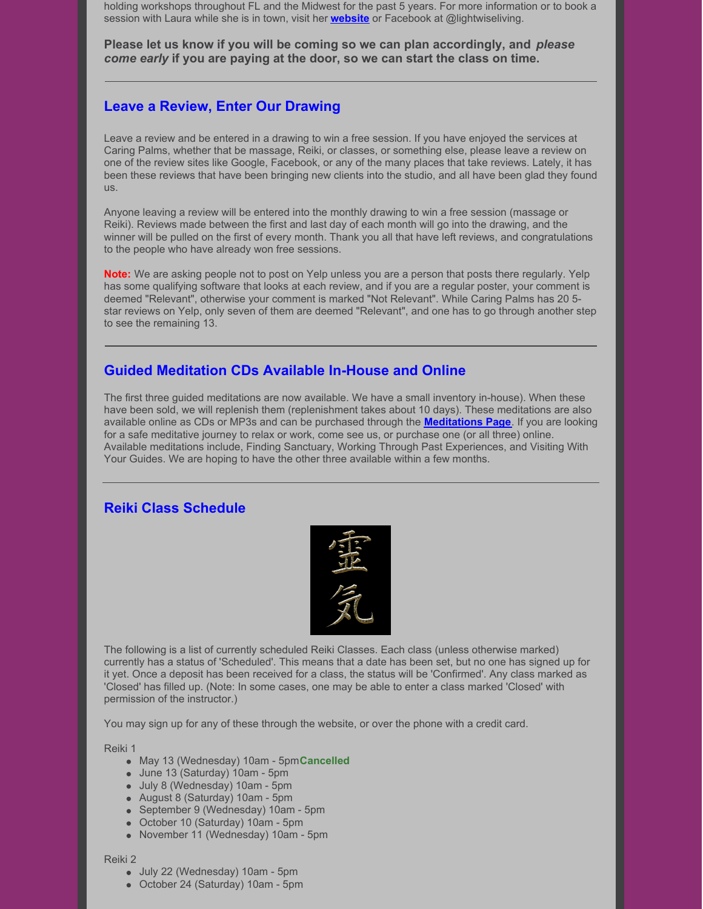holding workshops throughout FL and the Midwest for the past 5 years. For more information or to book a session with Laura while she is in town, visit her **[website](http://www.lightwiseliving.com)** or Facebook at @lightwiseliving.

**Please let us know if you will be coming so we can plan accordingly, and** *please come early* **if you are paying at the door, so we can start the class on time.**

## **Leave a Review, Enter Our Drawing**

Leave a review and be entered in a drawing to win a free session. If you have enjoyed the services at Caring Palms, whether that be massage, Reiki, or classes, or something else, please leave a review on one of the review sites like Google, Facebook, or any of the many places that take reviews. Lately, it has been these reviews that have been bringing new clients into the studio, and all have been glad they found us.

Anyone leaving a review will be entered into the monthly drawing to win a free session (massage or Reiki). Reviews made between the first and last day of each month will go into the drawing, and the winner will be pulled on the first of every month. Thank you all that have left reviews, and congratulations to the people who have already won free sessions.

**Note:** We are asking people not to post on Yelp unless you are a person that posts there regularly. Yelp has some qualifying software that looks at each review, and if you are a regular poster, your comment is deemed "Relevant", otherwise your comment is marked "Not Relevant". While Caring Palms has 20 5 star reviews on Yelp, only seven of them are deemed "Relevant", and one has to go through another step to see the remaining 13.

### **Guided Meditation CDs Available In-House and Online**

The first three guided meditations are now available. We have a small inventory in-house). When these have been sold, we will replenish them (replenishment takes about 10 days). These meditations are also available online as CDs or MP3s and can be purchased through the **[Meditations](http://caringpalms.com/meditations.html) Page**. If you are looking for a safe meditative journey to relax or work, come see us, or purchase one (or all three) online. Available meditations include, Finding Sanctuary, Working Through Past Experiences, and Visiting With Your Guides. We are hoping to have the other three available within a few months.

### **Reiki Class Schedule**



The following is a list of currently scheduled Reiki Classes. Each class (unless otherwise marked) currently has a status of 'Scheduled'. This means that a date has been set, but no one has signed up for it yet. Once a deposit has been received for a class, the status will be 'Confirmed'. Any class marked as 'Closed' has filled up. (Note: In some cases, one may be able to enter a class marked 'Closed' with permission of the instructor.)

You may sign up for any of these through the website, or over the phone with a credit card.

Reiki 1

- May 13 (Wednesday) 10am 5pm**Cancelled**
- June 13 (Saturday) 10am 5pm
- July 8 (Wednesday) 10am 5pm
- August 8 (Saturday) 10am 5pm
- September 9 (Wednesday) 10am 5pm
- October 10 (Saturday) 10am 5pm
- November 11 (Wednesday) 10am 5pm

Reiki 2

- July 22 (Wednesday) 10am 5pm
- October 24 (Saturday) 10am 5pm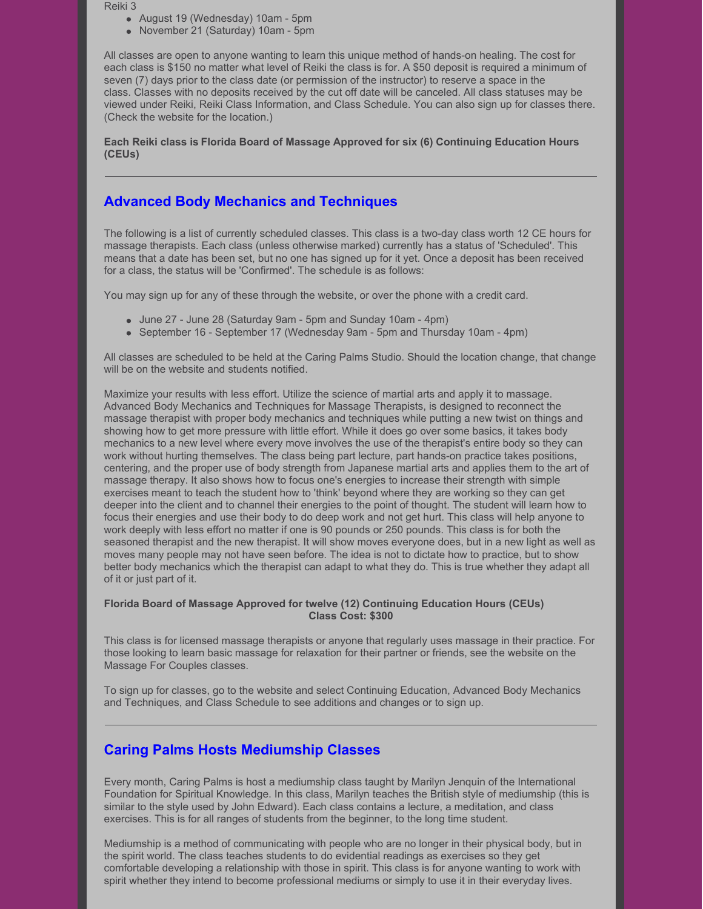Reiki 3

- August 19 (Wednesday) 10am 5pm
- November 21 (Saturday) 10am 5pm

All classes are open to anyone wanting to learn this unique method of hands-on healing. The cost for each class is \$150 no matter what level of Reiki the class is for. A \$50 deposit is required a minimum of seven (7) days prior to the class date (or permission of the instructor) to reserve a space in the class. Classes with no deposits received by the cut off date will be canceled. All class statuses may be viewed under Reiki, Reiki Class Information, and Class Schedule. You can also sign up for classes there. (Check the website for the location.)

**Each Reiki class is Florida Board of Massage Approved for six (6) Continuing Education Hours (CEUs)**

# **Advanced Body Mechanics and Techniques**

The following is a list of currently scheduled classes. This class is a two-day class worth 12 CE hours for massage therapists. Each class (unless otherwise marked) currently has a status of 'Scheduled'. This means that a date has been set, but no one has signed up for it yet. Once a deposit has been received for a class, the status will be 'Confirmed'. The schedule is as follows:

You may sign up for any of these through the website, or over the phone with a credit card.

- June 27 June 28 (Saturday 9am 5pm and Sunday 10am 4pm)
- September 16 September 17 (Wednesday 9am 5pm and Thursday 10am 4pm)

All classes are scheduled to be held at the Caring Palms Studio. Should the location change, that change will be on the website and students notified.

Maximize your results with less effort. Utilize the science of martial arts and apply it to massage. Advanced Body Mechanics and Techniques for Massage Therapists, is designed to reconnect the massage therapist with proper body mechanics and techniques while putting a new twist on things and showing how to get more pressure with little effort. While it does go over some basics, it takes body mechanics to a new level where every move involves the use of the therapist's entire body so they can work without hurting themselves. The class being part lecture, part hands-on practice takes positions, centering, and the proper use of body strength from Japanese martial arts and applies them to the art of massage therapy. It also shows how to focus one's energies to increase their strength with simple exercises meant to teach the student how to 'think' beyond where they are working so they can get deeper into the client and to channel their energies to the point of thought. The student will learn how to focus their energies and use their body to do deep work and not get hurt. This class will help anyone to work deeply with less effort no matter if one is 90 pounds or 250 pounds. This class is for both the seasoned therapist and the new therapist. It will show moves everyone does, but in a new light as well as moves many people may not have seen before. The idea is not to dictate how to practice, but to show better body mechanics which the therapist can adapt to what they do. This is true whether they adapt all of it or just part of it.

#### **Florida Board of Massage Approved for twelve (12) Continuing Education Hours (CEUs) Class Cost: \$300**

This class is for licensed massage therapists or anyone that regularly uses massage in their practice. For those looking to learn basic massage for relaxation for their partner or friends, see the website on the Massage For Couples classes.

To sign up for classes, go to the website and select Continuing Education, Advanced Body Mechanics and Techniques, and Class Schedule to see additions and changes or to sign up.

# **Caring Palms Hosts Mediumship Classes**

Every month, Caring Palms is host a mediumship class taught by Marilyn Jenquin of the International Foundation for Spiritual Knowledge. In this class, Marilyn teaches the British style of mediumship (this is similar to the style used by John Edward). Each class contains a lecture, a meditation, and class exercises. This is for all ranges of students from the beginner, to the long time student.

Mediumship is a method of communicating with people who are no longer in their physical body, but in the spirit world. The class teaches students to do evidential readings as exercises so they get comfortable developing a relationship with those in spirit. This class is for anyone wanting to work with spirit whether they intend to become professional mediums or simply to use it in their everyday lives.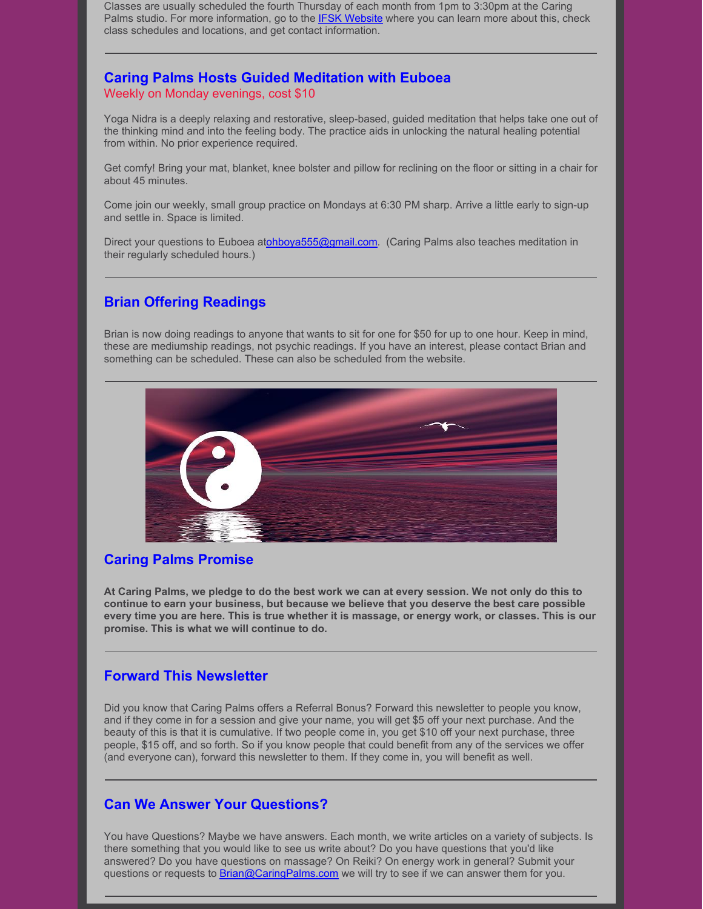Classes are usually scheduled the fourth Thursday of each month from 1pm to 3:30pm at the Caring Palms studio. For more information, go to the **IFSK [Website](http://www.ifsk.org/)** where you can learn more about this, check class schedules and locations, and get contact information.

### **Caring Palms Hosts Guided Meditation with Euboea** Weekly on Monday evenings, cost \$10

Yoga Nidra is a deeply relaxing and restorative, sleep-based, guided meditation that helps take one out of the thinking mind and into the feeling body. The practice aids in unlocking the natural healing potential from within. No prior experience required.

Get comfy! Bring your mat, blanket, knee bolster and pillow for reclining on the floor or sitting in a chair for about 45 minutes.

Come join our weekly, small group practice on Mondays at 6:30 PM sharp. Arrive a little early to sign-up and settle in. Space is limited.

Direct your questions to Euboea a[tohboya555@gmail.com](mailto:ohboya555@gmail.com). (Caring Palms also teaches meditation in their regularly scheduled hours.)

## **Brian Offering Readings**

Brian is now doing readings to anyone that wants to sit for one for \$50 for up to one hour. Keep in mind, these are mediumship readings, not psychic readings. If you have an interest, please contact Brian and something can be scheduled. These can also be scheduled from the website.



### **Caring Palms Promise**

At Caring Palms, we pledge to do the best work we can at every session. We not only do this to **continue to earn your business, but because we believe that you deserve the best care possible** every time you are here. This is true whether it is massage, or energy work, or classes. This is our **promise. This is what we will continue to do.**

### **Forward This Newsletter**

Did you know that Caring Palms offers a Referral Bonus? Forward this newsletter to people you know, and if they come in for a session and give your name, you will get \$5 off your next purchase. And the beauty of this is that it is cumulative. If two people come in, you get \$10 off your next purchase, three people, \$15 off, and so forth. So if you know people that could benefit from any of the services we offer (and everyone can), forward this newsletter to them. If they come in, you will benefit as well.

### **Can We Answer Your Questions?**

You have Questions? Maybe we have answers. Each month, we write articles on a variety of subjects. Is there something that you would like to see us write about? Do you have questions that you'd like answered? Do you have questions on massage? On Reiki? On energy work in general? Submit your questions or requests to **[Brian@CaringPalms.com](mailto:brian@caringpalms.com)** we will try to see if we can answer them for you.